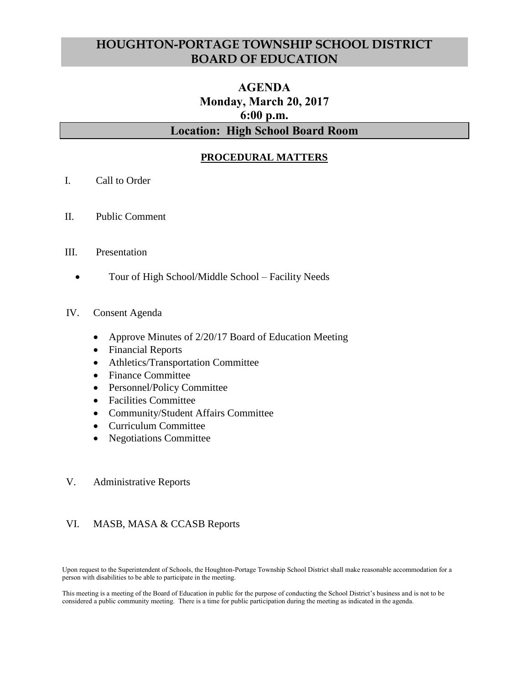# **HOUGHTON-PORTAGE TOWNSHIP SCHOOL DISTRICT BOARD OF EDUCATION**

# **AGENDA Monday, March 20, 2017 6:00 p.m. Location: High School Board Room**

## **PROCEDURAL MATTERS**

- I. Call to Order
- II. Public Comment
- III. Presentation
	- Tour of High School/Middle School Facility Needs
- IV. Consent Agenda
	- Approve Minutes of 2/20/17 Board of Education Meeting
	- Financial Reports
	- Athletics/Transportation Committee
	- Finance Committee
	- Personnel/Policy Committee
	- Facilities Committee
	- Community/Student Affairs Committee
	- Curriculum Committee
	- Negotiations Committee
- V. Administrative Reports

### VI. MASB, MASA & CCASB Reports

Upon request to the Superintendent of Schools, the Houghton-Portage Township School District shall make reasonable accommodation for a person with disabilities to be able to participate in the meeting.

This meeting is a meeting of the Board of Education in public for the purpose of conducting the School District's business and is not to be considered a public community meeting. There is a time for public participation during the meeting as indicated in the agenda.